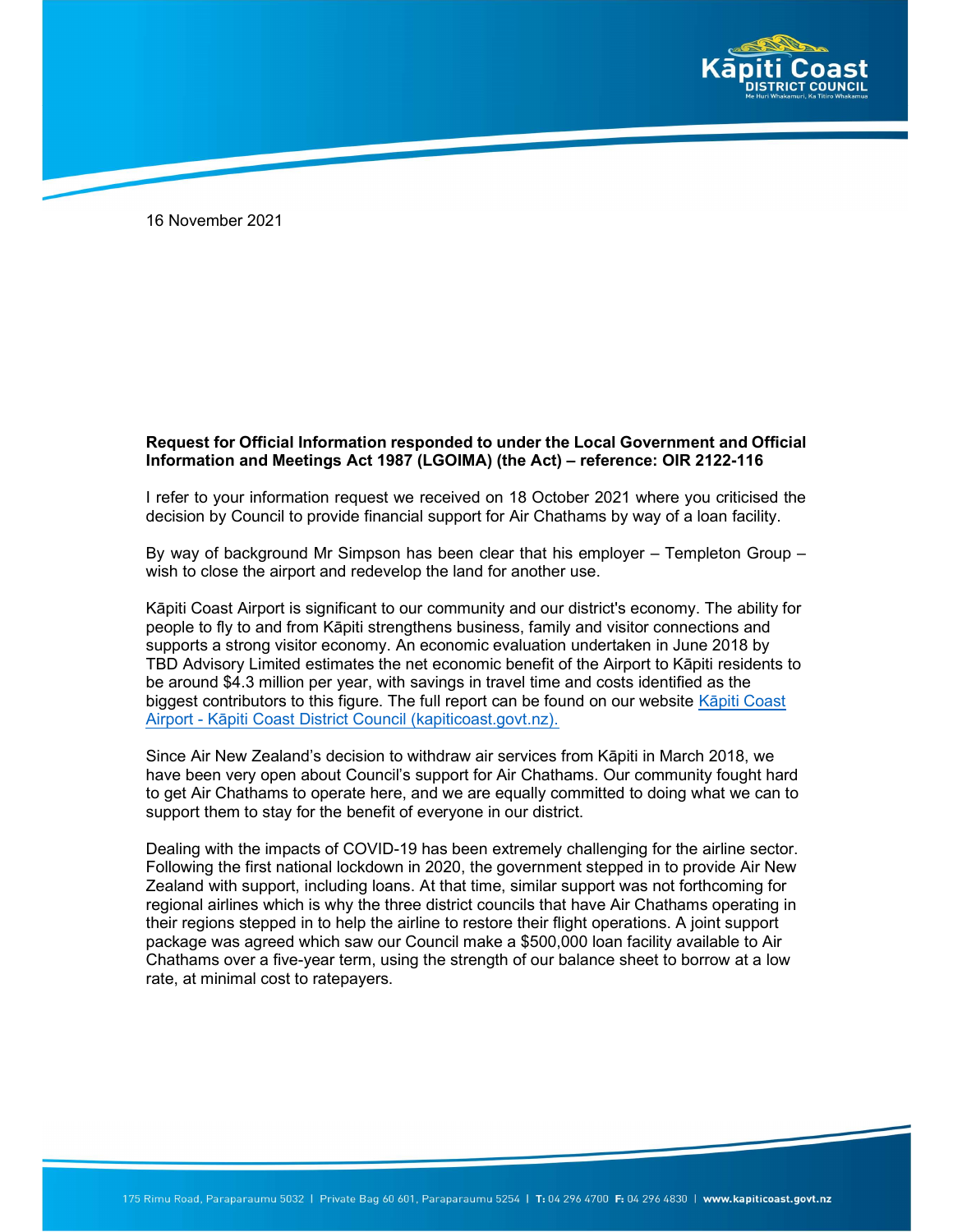

16 November 2021

## Request for Official Information responded to under the Local Government and Official Information and Meetings Act 1987 (LGOIMA) (the Act) – reference: OIR 2122-116

I refer to your information request we received on 18 October 2021 where you criticised the decision by Council to provide financial support for Air Chathams by way of a loan facility.

By way of background Mr Simpson has been clear that his employer – Templeton Group – wish to close the airport and redevelop the land for another use.

Kāpiti Coast Airport is significant to our community and our district's economy. The ability for people to fly to and from Kāpiti strengthens business, family and visitor connections and supports a strong visitor economy. An economic evaluation undertaken in June 2018 by TBD Advisory Limited estimates the net economic benefit of the Airport to Kāpiti residents to be around \$4.3 million per year, with savings in travel time and costs identified as the biggest contributors to this figure. The full report can be found on our website Kāpiti Coast Airport - Kāpiti Coast District Council (kapiticoast.govt.nz).

Since Air New Zealand's decision to withdraw air services from Kāpiti in March 2018, we have been very open about Council's support for Air Chathams. Our community fought hard to get Air Chathams to operate here, and we are equally committed to doing what we can to support them to stay for the benefit of everyone in our district.

Dealing with the impacts of COVID-19 has been extremely challenging for the airline sector. Following the first national lockdown in 2020, the government stepped in to provide Air New Zealand with support, including loans. At that time, similar support was not forthcoming for regional airlines which is why the three district councils that have Air Chathams operating in their regions stepped in to help the airline to restore their flight operations. A joint support package was agreed which saw our Council make a \$500,000 loan facility available to Air Chathams over a five-year term, using the strength of our balance sheet to borrow at a low rate, at minimal cost to ratepayers.